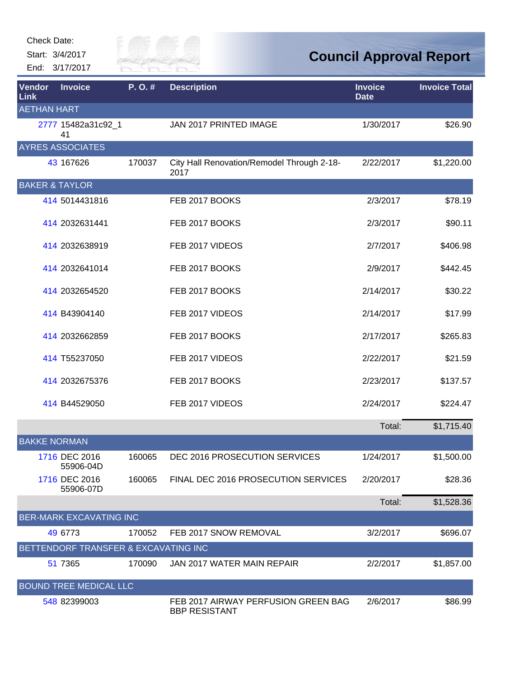Check Date:

Start: 3/4/2017 End: 3/17/2017



## **Council Approval Report**

| Vendor<br>Link            | <b>Invoice</b>                       | P.O.#  | <b>Description</b>                                          | <b>Invoice</b><br><b>Date</b> | <b>Invoice Total</b> |
|---------------------------|--------------------------------------|--------|-------------------------------------------------------------|-------------------------------|----------------------|
| <b>AETHAN HART</b>        |                                      |        |                                                             |                               |                      |
|                           | 2777 15482a31c92_1<br>41             |        | JAN 2017 PRINTED IMAGE                                      | 1/30/2017                     | \$26.90              |
|                           | <b>AYRES ASSOCIATES</b>              |        |                                                             |                               |                      |
|                           | 43 167626                            | 170037 | City Hall Renovation/Remodel Through 2-18-<br>2017          | 2/22/2017                     | \$1,220.00           |
| <b>BAKER &amp; TAYLOR</b> |                                      |        |                                                             |                               |                      |
|                           | 414 5014431816                       |        | FEB 2017 BOOKS                                              | 2/3/2017                      | \$78.19              |
|                           | 414 2032631441                       |        | FEB 2017 BOOKS                                              | 2/3/2017                      | \$90.11              |
|                           | 414 2032638919                       |        | FEB 2017 VIDEOS                                             | 2/7/2017                      | \$406.98             |
|                           | 414 2032641014                       |        | FEB 2017 BOOKS                                              | 2/9/2017                      | \$442.45             |
|                           | 414 2032654520                       |        | FEB 2017 BOOKS                                              | 2/14/2017                     | \$30.22              |
|                           | 414 B43904140                        |        | FEB 2017 VIDEOS                                             | 2/14/2017                     | \$17.99              |
|                           | 414 2032662859                       |        | FEB 2017 BOOKS                                              | 2/17/2017                     | \$265.83             |
|                           | 414 T55237050                        |        | FEB 2017 VIDEOS                                             | 2/22/2017                     | \$21.59              |
|                           | 414 2032675376                       |        | FEB 2017 BOOKS                                              | 2/23/2017                     | \$137.57             |
|                           | 414 B44529050                        |        | FEB 2017 VIDEOS                                             | 2/24/2017                     | \$224.47             |
|                           |                                      |        |                                                             | Total:                        | \$1,715.40           |
| <b>BAKKE NORMAN</b>       |                                      |        |                                                             |                               |                      |
|                           | 1716 DEC 2016<br>55906-04D           | 160065 | DEC 2016 PROSECUTION SERVICES                               | 1/24/2017                     | \$1,500.00           |
|                           | 1716 DEC 2016<br>55906-07D           | 160065 | FINAL DEC 2016 PROSECUTION SERVICES                         | 2/20/2017                     | \$28.36              |
|                           |                                      |        |                                                             | Total:                        | \$1,528.36           |
|                           | <b>BER-MARK EXCAVATING INC</b>       |        |                                                             |                               |                      |
|                           | 49 6773                              | 170052 | FEB 2017 SNOW REMOVAL                                       | 3/2/2017                      | \$696.07             |
|                           | BETTENDORF TRANSFER & EXCAVATING INC |        |                                                             |                               |                      |
|                           | 51 7365                              | 170090 | JAN 2017 WATER MAIN REPAIR                                  | 2/2/2017                      | \$1,857.00           |
|                           | <b>BOUND TREE MEDICAL LLC</b>        |        |                                                             |                               |                      |
|                           | 548 82399003                         |        | FEB 2017 AIRWAY PERFUSION GREEN BAG<br><b>BBP RESISTANT</b> | 2/6/2017                      | \$86.99              |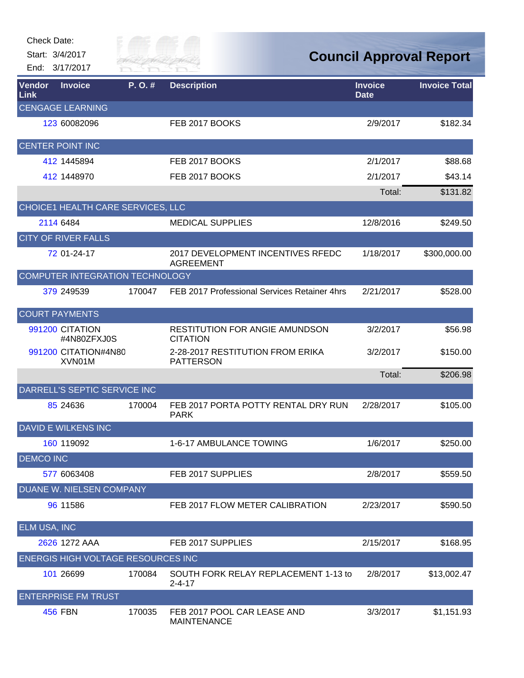| <b>Check Date:</b>    | Start: 3/4/2017<br>End: 3/17/2017  | till of t<br>River Fai |                                                          | <b>Council Approval Report</b> |                      |
|-----------------------|------------------------------------|------------------------|----------------------------------------------------------|--------------------------------|----------------------|
| Vendor<br><b>Link</b> | <b>Invoice</b>                     | P.O.#                  | <b>Description</b>                                       | <b>Invoice</b><br><b>Date</b>  | <b>Invoice Total</b> |
|                       | <b>CENGAGE LEARNING</b>            |                        |                                                          |                                |                      |
|                       | 123 60082096                       |                        | FEB 2017 BOOKS                                           | 2/9/2017                       | \$182.34             |
|                       | <b>CENTER POINT INC</b>            |                        |                                                          |                                |                      |
|                       | 412 1445894                        |                        | FEB 2017 BOOKS                                           | 2/1/2017                       | \$88.68              |
|                       | 412 1448970                        |                        | FEB 2017 BOOKS                                           | 2/1/2017                       | \$43.14              |
|                       |                                    |                        |                                                          | Total:                         | \$131.82             |
|                       | CHOICE1 HEALTH CARE SERVICES, LLC  |                        |                                                          |                                |                      |
|                       | 2114 6484                          |                        | <b>MEDICAL SUPPLIES</b>                                  | 12/8/2016                      | \$249.50             |
|                       | <b>CITY OF RIVER FALLS</b>         |                        |                                                          |                                |                      |
|                       | 72 01-24-17                        |                        | 2017 DEVELOPMENT INCENTIVES RFEDC<br><b>AGREEMENT</b>    | 1/18/2017                      | \$300,000.00         |
|                       | COMPUTER INTEGRATION TECHNOLOGY    |                        |                                                          |                                |                      |
|                       | 379 249539                         | 170047                 | FEB 2017 Professional Services Retainer 4hrs             | 2/21/2017                      | \$528.00             |
|                       | <b>COURT PAYMENTS</b>              |                        |                                                          |                                |                      |
|                       | 991200 CITATION<br>#4N80ZFXJ0S     |                        | <b>RESTITUTION FOR ANGIE AMUNDSON</b><br><b>CITATION</b> | 3/2/2017                       | \$56.98              |
|                       | 991200 CITATION#4N80<br>XVN01M     |                        | 2-28-2017 RESTITUTION FROM ERIKA<br><b>PATTERSON</b>     | 3/2/2017                       | \$150.00             |
|                       |                                    |                        |                                                          | Total:                         | \$206.98             |
|                       | DARRELL'S SEPTIC SERVICE INC       |                        |                                                          |                                |                      |
|                       | 85 24 63 6                         | 170004                 | FEB 2017 PORTA POTTY RENTAL DRY RUN<br><b>PARK</b>       | 2/28/2017                      | \$105.00             |
|                       | <b>DAVID E WILKENS INC</b>         |                        |                                                          |                                |                      |
|                       | 160 119092                         |                        | 1-6-17 AMBULANCE TOWING                                  | 1/6/2017                       | \$250.00             |
| <b>DEMCO INC</b>      |                                    |                        |                                                          |                                |                      |
|                       | 577 6063408                        |                        | FEB 2017 SUPPLIES                                        | 2/8/2017                       | \$559.50             |
|                       | DUANE W. NIELSEN COMPANY           |                        |                                                          |                                |                      |
|                       | 96 11586                           |                        | FEB 2017 FLOW METER CALIBRATION                          | 2/23/2017                      | \$590.50             |
| ELM USA, INC          |                                    |                        |                                                          |                                |                      |
|                       | 2626 1272 AAA                      |                        | FEB 2017 SUPPLIES                                        | 2/15/2017                      | \$168.95             |
|                       | ENERGIS HIGH VOLTAGE RESOURCES INC |                        |                                                          |                                |                      |
|                       | 101 26699                          | 170084                 | SOUTH FORK RELAY REPLACEMENT 1-13 to<br>$2 - 4 - 17$     | 2/8/2017                       | \$13,002.47          |
|                       | <b>ENTERPRISE FM TRUST</b>         |                        |                                                          |                                |                      |
|                       | <b>456 FBN</b>                     | 170035                 | FEB 2017 POOL CAR LEASE AND<br><b>MAINTENANCE</b>        | 3/3/2017                       | \$1,151.93           |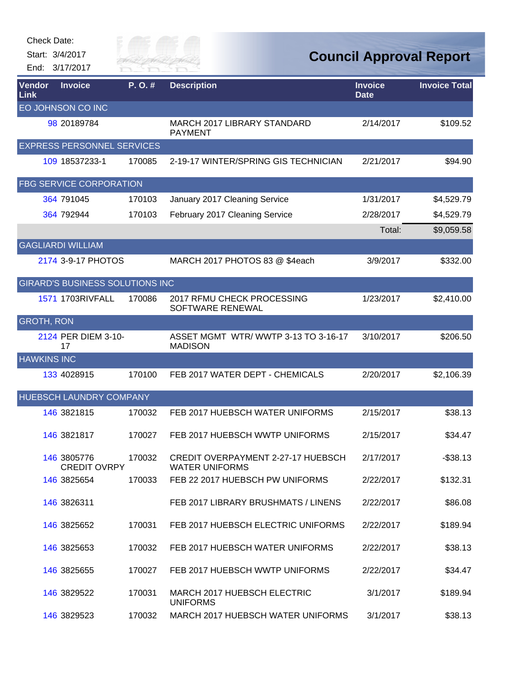| <b>Check Date:</b><br>Start: 3/4/2017<br>End: 3/17/2017 |                                        | Billy of C<br>River Fai |                                                                    |                               | <b>Council Approval Report</b> |
|---------------------------------------------------------|----------------------------------------|-------------------------|--------------------------------------------------------------------|-------------------------------|--------------------------------|
| Vendor<br>Link                                          | <b>Invoice</b>                         | P.O.#                   | <b>Description</b>                                                 | <b>Invoice</b><br><b>Date</b> | <b>Invoice Total</b>           |
| EO JOHNSON CO INC                                       |                                        |                         |                                                                    |                               |                                |
|                                                         | 98 20189784                            |                         | MARCH 2017 LIBRARY STANDARD<br><b>PAYMENT</b>                      | 2/14/2017                     | \$109.52                       |
|                                                         | <b>EXPRESS PERSONNEL SERVICES</b>      |                         |                                                                    |                               |                                |
|                                                         | 109 18537233-1                         | 170085                  | 2-19-17 WINTER/SPRING GIS TECHNICIAN                               | 2/21/2017                     | \$94.90                        |
|                                                         | FBG SERVICE CORPORATION                |                         |                                                                    |                               |                                |
| 364 791045                                              |                                        | 170103                  | January 2017 Cleaning Service                                      | 1/31/2017                     | \$4,529.79                     |
| 364 792944                                              |                                        | 170103                  | February 2017 Cleaning Service                                     | 2/28/2017                     | \$4,529.79                     |
|                                                         |                                        |                         |                                                                    | Total:                        | \$9,059.58                     |
| <b>GAGLIARDI WILLIAM</b>                                |                                        |                         |                                                                    |                               |                                |
|                                                         | 2174 3-9-17 PHOTOS                     |                         | MARCH 2017 PHOTOS 83 @ \$4each                                     | 3/9/2017                      | \$332.00                       |
|                                                         | <b>GIRARD'S BUSINESS SOLUTIONS INC</b> |                         |                                                                    |                               |                                |
|                                                         | 1571 1703RIVFALL                       | 170086                  | 2017 RFMU CHECK PROCESSING<br>SOFTWARE RENEWAL                     | 1/23/2017                     | \$2,410.00                     |
| <b>GROTH, RON</b>                                       |                                        |                         |                                                                    |                               |                                |
| 17                                                      | 2124 PER DIEM 3-10-                    |                         | ASSET MGMT WTR/WWTP 3-13 TO 3-16-17<br><b>MADISON</b>              | 3/10/2017                     | \$206.50                       |
| <b>HAWKINS INC</b>                                      |                                        |                         |                                                                    |                               |                                |
| 133 4028915                                             |                                        | 170100                  | FEB 2017 WATER DEPT - CHEMICALS                                    | 2/20/2017                     | \$2,106.39                     |
|                                                         | HUEBSCH LAUNDRY COMPANY                |                         |                                                                    |                               |                                |
| 146 3821815                                             |                                        | 170032                  | FEB 2017 HUEBSCH WATER UNIFORMS                                    | 2/15/2017                     | \$38.13                        |
| 146 3821817                                             |                                        | 170027                  | FEB 2017 HUEBSCH WWTP UNIFORMS                                     | 2/15/2017                     | \$34.47                        |
| 146 3805776                                             | <b>CREDIT OVRPY</b>                    | 170032                  | <b>CREDIT OVERPAYMENT 2-27-17 HUEBSCH</b><br><b>WATER UNIFORMS</b> | 2/17/2017                     | $-$38.13$                      |
| 146 3825654                                             |                                        | 170033                  | FEB 22 2017 HUEBSCH PW UNIFORMS                                    | 2/22/2017                     | \$132.31                       |
| 146 3826311                                             |                                        |                         | FEB 2017 LIBRARY BRUSHMATS / LINENS                                | 2/22/2017                     | \$86.08                        |
| 146 3825652                                             |                                        | 170031                  | FEB 2017 HUEBSCH ELECTRIC UNIFORMS                                 | 2/22/2017                     | \$189.94                       |
| 146 3825653                                             |                                        | 170032                  | FEB 2017 HUEBSCH WATER UNIFORMS                                    | 2/22/2017                     | \$38.13                        |
| 146 3825655                                             |                                        | 170027                  | FEB 2017 HUEBSCH WWTP UNIFORMS                                     | 2/22/2017                     | \$34.47                        |
| 146 3829522                                             |                                        | 170031                  | MARCH 2017 HUEBSCH ELECTRIC<br><b>UNIFORMS</b>                     | 3/1/2017                      | \$189.94                       |
| 146 3829523                                             |                                        | 170032                  | MARCH 2017 HUEBSCH WATER UNIFORMS                                  | 3/1/2017                      | \$38.13                        |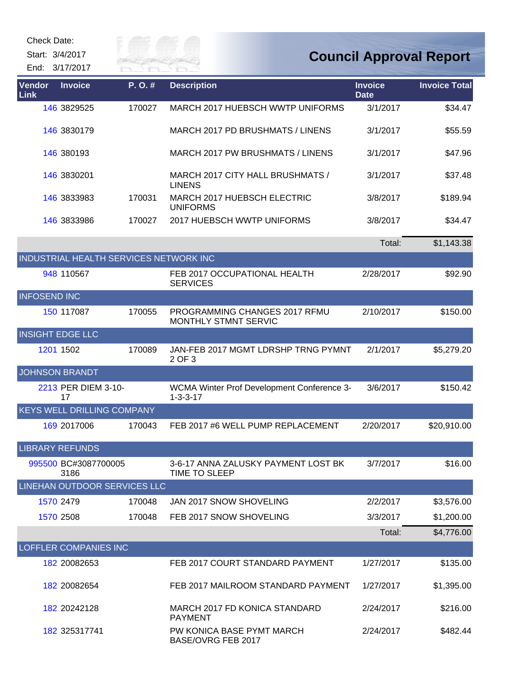Check Date:

Start: 3/4/2017

Gity of

End: 3/17/2017

| Vendor<br>Link      | <b>Invoice</b>                    | P.O.#                                  | <b>Description</b>                                             | <b>Invoice</b><br><b>Date</b> | <b>Invoice Total</b> |
|---------------------|-----------------------------------|----------------------------------------|----------------------------------------------------------------|-------------------------------|----------------------|
|                     | 146 3829525                       | 170027                                 | MARCH 2017 HUEBSCH WWTP UNIFORMS                               | 3/1/2017                      | \$34.47              |
|                     | 146 3830179                       |                                        | MARCH 2017 PD BRUSHMATS / LINENS                               | 3/1/2017                      | \$55.59              |
|                     | 146 380193                        |                                        | MARCH 2017 PW BRUSHMATS / LINENS                               | 3/1/2017                      | \$47.96              |
|                     | 146 3830201                       |                                        | MARCH 2017 CITY HALL BRUSHMATS /<br><b>LINENS</b>              | 3/1/2017                      | \$37.48              |
|                     | 146 3833983                       | 170031                                 | MARCH 2017 HUEBSCH ELECTRIC<br><b>UNIFORMS</b>                 | 3/8/2017                      | \$189.94             |
|                     | 146 3833986                       | 170027                                 | 2017 HUEBSCH WWTP UNIFORMS                                     | 3/8/2017                      | \$34.47              |
|                     |                                   |                                        |                                                                | Total:                        | \$1,143.38           |
|                     |                                   | INDUSTRIAL HEALTH SERVICES NETWORK INC |                                                                |                               |                      |
|                     | 948 110567                        |                                        | FEB 2017 OCCUPATIONAL HEALTH<br><b>SERVICES</b>                | 2/28/2017                     | \$92.90              |
| <b>INFOSEND INC</b> |                                   |                                        |                                                                |                               |                      |
|                     | 150 117087                        | 170055                                 | PROGRAMMING CHANGES 2017 RFMU<br>MONTHLY STMNT SERVIC          | 2/10/2017                     | \$150.00             |
|                     | <b>INSIGHT EDGE LLC</b>           |                                        |                                                                |                               |                      |
|                     | 1201 1502                         | 170089                                 | JAN-FEB 2017 MGMT LDRSHP TRNG PYMNT<br>2 OF 3                  | 2/1/2017                      | \$5,279.20           |
|                     | <b>JOHNSON BRANDT</b>             |                                        |                                                                |                               |                      |
|                     | 2213 PER DIEM 3-10-<br>17         |                                        | WCMA Winter Prof Development Conference 3-<br>$1 - 3 - 3 - 17$ | 3/6/2017                      | \$150.42             |
|                     | <b>KEYS WELL DRILLING COMPANY</b> |                                        |                                                                |                               |                      |
|                     | 169 2017006                       | 170043                                 | FEB 2017 #6 WELL PUMP REPLACEMENT                              | 2/20/2017                     | \$20,910.00          |
|                     | <b>LIBRARY REFUNDS</b>            |                                        |                                                                |                               |                      |
|                     | 995500 BC#3087700005<br>3186      |                                        | 3-6-17 ANNA ZALUSKY PAYMENT LOST BK<br>TIME TO SLEEP           | 3/7/2017                      | \$16.00              |
|                     |                                   | LINEHAN OUTDOOR SERVICES LLC           |                                                                |                               |                      |
|                     | 1570 2479                         | 170048                                 | JAN 2017 SNOW SHOVELING                                        | 2/2/2017                      | \$3,576.00           |
|                     | 1570 2508                         | 170048                                 | FEB 2017 SNOW SHOVELING                                        | 3/3/2017                      | \$1,200.00           |
|                     |                                   |                                        |                                                                | Total:                        | \$4,776.00           |
|                     | LOFFLER COMPANIES INC             |                                        |                                                                |                               |                      |
|                     | 182 20082653                      |                                        | FEB 2017 COURT STANDARD PAYMENT                                | 1/27/2017                     | \$135.00             |
|                     | 182 20082654                      |                                        | FEB 2017 MAILROOM STANDARD PAYMENT                             | 1/27/2017                     | \$1,395.00           |
|                     | 182 20242128                      |                                        | MARCH 2017 FD KONICA STANDARD<br><b>PAYMENT</b>                | 2/24/2017                     | \$216.00             |
|                     | 182 325317741                     |                                        | PW KONICA BASE PYMT MARCH<br>BASE/OVRG FEB 2017                | 2/24/2017                     | \$482.44             |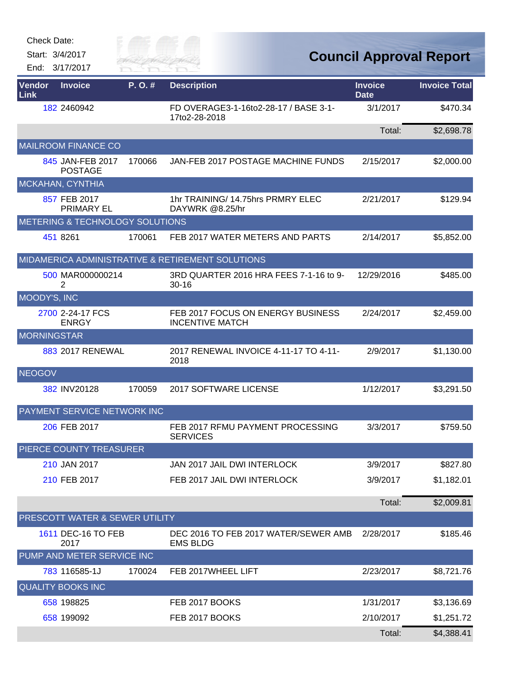Start: 3/4/2017 End: 3/17/2017



## **Council Approval Report**

| Vendor<br>Link     | <b>Invoice</b>                     | P.O.#  | <b>Description</b>                                          | <b>Invoice</b><br>Date | <b>Invoice Total</b> |
|--------------------|------------------------------------|--------|-------------------------------------------------------------|------------------------|----------------------|
|                    | 182 2460942                        |        | FD OVERAGE3-1-16to2-28-17 / BASE 3-1-<br>17to2-28-2018      | 3/1/2017               | \$470.34             |
|                    |                                    |        |                                                             | Total:                 | \$2,698.78           |
|                    | <b>MAILROOM FINANCE CO</b>         |        |                                                             |                        |                      |
|                    | 845 JAN-FEB 2017<br><b>POSTAGE</b> | 170066 | JAN-FEB 2017 POSTAGE MACHINE FUNDS                          | 2/15/2017              | \$2,000.00           |
|                    | MCKAHAN, CYNTHIA                   |        |                                                             |                        |                      |
|                    | 857 FEB 2017<br><b>PRIMARY EL</b>  |        | 1hr TRAINING/14.75hrs PRMRY ELEC<br>DAYWRK @8.25/hr         | 2/21/2017              | \$129.94             |
|                    | METERING & TECHNOLOGY SOLUTIONS    |        |                                                             |                        |                      |
|                    | 451 8261                           | 170061 | FEB 2017 WATER METERS AND PARTS                             | 2/14/2017              | \$5,852.00           |
|                    |                                    |        | MIDAMERICA ADMINISTRATIVE & RETIREMENT SOLUTIONS            |                        |                      |
|                    | 500 MAR000000214<br>2              |        | 3RD QUARTER 2016 HRA FEES 7-1-16 to 9-<br>$30 - 16$         | 12/29/2016             | \$485.00             |
| MOODY'S, INC       |                                    |        |                                                             |                        |                      |
|                    | 2700 2-24-17 FCS<br><b>ENRGY</b>   |        | FEB 2017 FOCUS ON ENERGY BUSINESS<br><b>INCENTIVE MATCH</b> | 2/24/2017              | \$2,459.00           |
| <b>MORNINGSTAR</b> |                                    |        |                                                             |                        |                      |
|                    | 883 2017 RENEWAL                   |        | 2017 RENEWAL INVOICE 4-11-17 TO 4-11-<br>2018               | 2/9/2017               | \$1,130.00           |
| <b>NEOGOV</b>      |                                    |        |                                                             |                        |                      |
|                    | 382 INV20128                       | 170059 | 2017 SOFTWARE LICENSE                                       | 1/12/2017              | \$3,291.50           |
|                    | PAYMENT SERVICE NETWORK INC        |        |                                                             |                        |                      |
|                    | 206 FEB 2017                       |        | FEB 2017 RFMU PAYMENT PROCESSING<br><b>SERVICES</b>         | 3/3/2017               | \$759.50             |
|                    | <b>PIERCE COUNTY TREASURER</b>     |        |                                                             |                        |                      |
|                    | 210 JAN 2017                       |        | JAN 2017 JAIL DWI INTERLOCK                                 | 3/9/2017               | \$827.80             |
|                    | 210 FEB 2017                       |        | FEB 2017 JAIL DWI INTERLOCK                                 | 3/9/2017               | \$1,182.01           |
|                    |                                    |        |                                                             | Total:                 | \$2,009.81           |
|                    | PRESCOTT WATER & SEWER UTILITY     |        |                                                             |                        |                      |
|                    | 1611 DEC-16 TO FEB<br>2017         |        | DEC 2016 TO FEB 2017 WATER/SEWER AMB<br><b>EMS BLDG</b>     | 2/28/2017              | \$185.46             |
|                    | PUMP AND METER SERVICE INC         |        |                                                             |                        |                      |
|                    | 783 116585-1J                      | 170024 | FEB 2017WHEEL LIFT                                          | 2/23/2017              | \$8,721.76           |
|                    | <b>QUALITY BOOKS INC</b>           |        |                                                             |                        |                      |
|                    | 658 198825                         |        | FEB 2017 BOOKS                                              | 1/31/2017              | \$3,136.69           |
|                    | 658 199092                         |        | FEB 2017 BOOKS                                              | 2/10/2017              | \$1,251.72           |
|                    |                                    |        |                                                             | Total:                 | \$4,388.41           |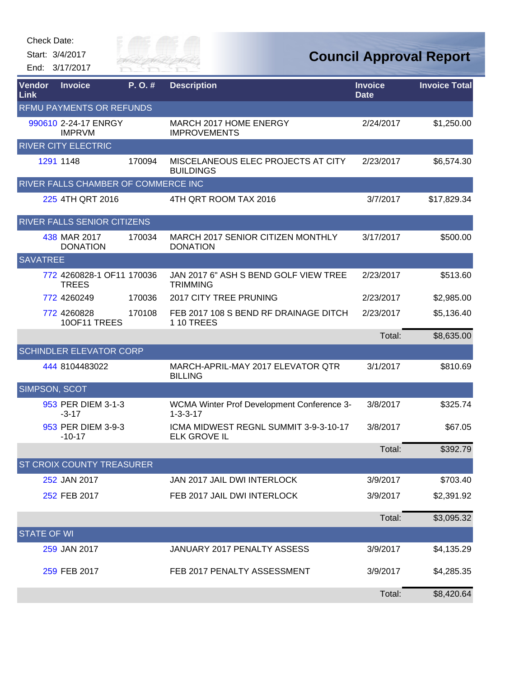Start: 3/4/2017

End: 3/17/2017



| Vendor<br>Link     | <b>Invoice</b>                            | P.O.#  | <b>Description</b>                                             | <b>Invoice</b><br><b>Date</b> | <b>Invoice Total</b> |
|--------------------|-------------------------------------------|--------|----------------------------------------------------------------|-------------------------------|----------------------|
|                    | RFMU PAYMENTS OR REFUNDS                  |        |                                                                |                               |                      |
|                    | 990610 2-24-17 ENRGY<br><b>IMPRVM</b>     |        | MARCH 2017 HOME ENERGY<br><b>IMPROVEMENTS</b>                  | 2/24/2017                     | \$1,250.00           |
|                    | <b>RIVER CITY ELECTRIC</b>                |        |                                                                |                               |                      |
|                    | 1291 1148                                 | 170094 | MISCELANEOUS ELEC PROJECTS AT CITY<br><b>BUILDINGS</b>         | 2/23/2017                     | \$6,574.30           |
|                    | RIVER FALLS CHAMBER OF COMMERCE INC       |        |                                                                |                               |                      |
|                    | 225 4TH QRT 2016                          |        | 4TH QRT ROOM TAX 2016                                          | 3/7/2017                      | \$17,829.34          |
|                    | <b>RIVER FALLS SENIOR CITIZENS</b>        |        |                                                                |                               |                      |
|                    | 438 MAR 2017<br><b>DONATION</b>           | 170034 | MARCH 2017 SENIOR CITIZEN MONTHLY<br><b>DONATION</b>           | 3/17/2017                     | \$500.00             |
| <b>SAVATREE</b>    |                                           |        |                                                                |                               |                      |
|                    | 772 4260828-1 OF11 170036<br><b>TREES</b> |        | JAN 2017 6" ASH S BEND GOLF VIEW TREE<br><b>TRIMMING</b>       | 2/23/2017                     | \$513.60             |
|                    | 772 4260249                               | 170036 | 2017 CITY TREE PRUNING                                         | 2/23/2017                     | \$2,985.00           |
|                    | 772 4260828<br>10OF11 TREES               | 170108 | FEB 2017 108 S BEND RF DRAINAGE DITCH<br><b>110 TREES</b>      | 2/23/2017                     | \$5,136.40           |
|                    |                                           |        |                                                                | Total:                        | \$8,635.00           |
|                    | <b>SCHINDLER ELEVATOR CORP</b>            |        |                                                                |                               |                      |
|                    | 444 8104483022                            |        | MARCH-APRIL-MAY 2017 ELEVATOR QTR<br><b>BILLING</b>            | 3/1/2017                      | \$810.69             |
| SIMPSON, SCOT      |                                           |        |                                                                |                               |                      |
|                    | 953 PER DIEM 3-1-3<br>$-3-17$             |        | WCMA Winter Prof Development Conference 3-<br>$1 - 3 - 3 - 17$ | 3/8/2017                      | \$325.74             |
|                    | 953 PER DIEM 3-9-3<br>$-10-17$            |        | ICMA MIDWEST REGNL SUMMIT 3-9-3-10-17<br><b>ELK GROVE IL</b>   | 3/8/2017                      | \$67.05              |
|                    |                                           |        |                                                                | Total:                        | \$392.79             |
|                    | ST CROIX COUNTY TREASURER                 |        |                                                                |                               |                      |
|                    | 252 JAN 2017                              |        | JAN 2017 JAIL DWI INTERLOCK                                    | 3/9/2017                      | \$703.40             |
|                    | 252 FEB 2017                              |        | FEB 2017 JAIL DWI INTERLOCK                                    | 3/9/2017                      | \$2,391.92           |
|                    |                                           |        |                                                                | Total:                        | \$3,095.32           |
| <b>STATE OF WI</b> |                                           |        |                                                                |                               |                      |
|                    | 259 JAN 2017                              |        | JANUARY 2017 PENALTY ASSESS                                    | 3/9/2017                      | \$4,135.29           |
|                    | 259 FEB 2017                              |        | FEB 2017 PENALTY ASSESSMENT                                    | 3/9/2017                      | \$4,285.35           |
|                    |                                           |        |                                                                | Total:                        | \$8,420.64           |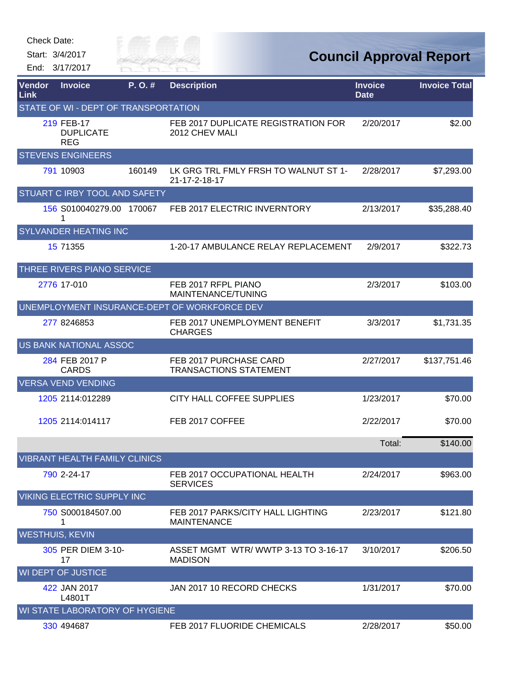| Check Date: |  |
|-------------|--|
|-------------|--|

Start: 3/4/2017

End: 3/17/2017



| <b>Vendor</b><br>Link  | <b>Invoice</b>                               | P.O.#  | <b>Description</b>                                      | <b>Invoice</b><br><b>Date</b> | <b>Invoice Total</b> |
|------------------------|----------------------------------------------|--------|---------------------------------------------------------|-------------------------------|----------------------|
|                        | STATE OF WI - DEPT OF TRANSPORTATION         |        |                                                         |                               |                      |
|                        | 219 FEB-17<br><b>DUPLICATE</b><br><b>REG</b> |        | FEB 2017 DUPLICATE REGISTRATION FOR<br>2012 CHEV MALI   | 2/20/2017                     | \$2.00               |
|                        | <b>STEVENS ENGINEERS</b>                     |        |                                                         |                               |                      |
|                        | 791 10903                                    | 160149 | LK GRG TRL FMLY FRSH TO WALNUT ST 1-<br>21-17-2-18-17   | 2/28/2017                     | \$7,293.00           |
|                        | STUART C IRBY TOOL AND SAFETY                |        |                                                         |                               |                      |
|                        | 156 S010040279.00 170067<br>1                |        | FEB 2017 ELECTRIC INVERNTORY                            | 2/13/2017                     | \$35,288.40          |
|                        | <b>SYLVANDER HEATING INC</b>                 |        |                                                         |                               |                      |
|                        | 15 71355                                     |        | 1-20-17 AMBULANCE RELAY REPLACEMENT                     | 2/9/2017                      | \$322.73             |
|                        | THREE RIVERS PIANO SERVICE                   |        |                                                         |                               |                      |
|                        | 2776 17-010                                  |        | FEB 2017 RFPL PIANO<br>MAINTENANCE/TUNING               | 2/3/2017                      | \$103.00             |
|                        |                                              |        | UNEMPLOYMENT INSURANCE-DEPT OF WORKFORCE DEV            |                               |                      |
|                        | 277 8246853                                  |        | FEB 2017 UNEMPLOYMENT BENEFIT<br><b>CHARGES</b>         | 3/3/2017                      | \$1,731.35           |
|                        | <b>US BANK NATIONAL ASSOC</b>                |        |                                                         |                               |                      |
|                        | 284 FEB 2017 P<br><b>CARDS</b>               |        | FEB 2017 PURCHASE CARD<br><b>TRANSACTIONS STATEMENT</b> | 2/27/2017                     | \$137,751.46         |
|                        | <b>VERSA VEND VENDING</b>                    |        |                                                         |                               |                      |
|                        | 1205 2114:012289                             |        | CITY HALL COFFEE SUPPLIES                               | 1/23/2017                     | \$70.00              |
|                        | 1205 2114:014117                             |        | FEB 2017 COFFEE                                         | 2/22/2017                     | \$70.00              |
|                        |                                              |        |                                                         | Total:                        | \$140.00             |
|                        | <b>VIBRANT HEALTH FAMILY CLINICS</b>         |        |                                                         |                               |                      |
|                        | 790 2-24-17                                  |        | FEB 2017 OCCUPATIONAL HEALTH<br><b>SERVICES</b>         | 2/24/2017                     | \$963.00             |
|                        | VIKING ELECTRIC SUPPLY INC                   |        |                                                         |                               |                      |
|                        | 750 S000184507.00<br>1                       |        | FEB 2017 PARKS/CITY HALL LIGHTING<br><b>MAINTENANCE</b> | 2/23/2017                     | \$121.80             |
| <b>WESTHUIS, KEVIN</b> |                                              |        |                                                         |                               |                      |
|                        | 305 PER DIEM 3-10-<br>17                     |        | ASSET MGMT WTR/WWTP 3-13 TO 3-16-17<br><b>MADISON</b>   | 3/10/2017                     | \$206.50             |
|                        | <b>WI DEPT OF JUSTICE</b>                    |        |                                                         |                               |                      |
|                        | 422 JAN 2017<br>L4801T                       |        | JAN 2017 10 RECORD CHECKS                               | 1/31/2017                     | \$70.00              |
|                        | WI STATE LABORATORY OF HYGIENE               |        |                                                         |                               |                      |
|                        | 330 494687                                   |        | FEB 2017 FLUORIDE CHEMICALS                             | 2/28/2017                     | \$50.00              |